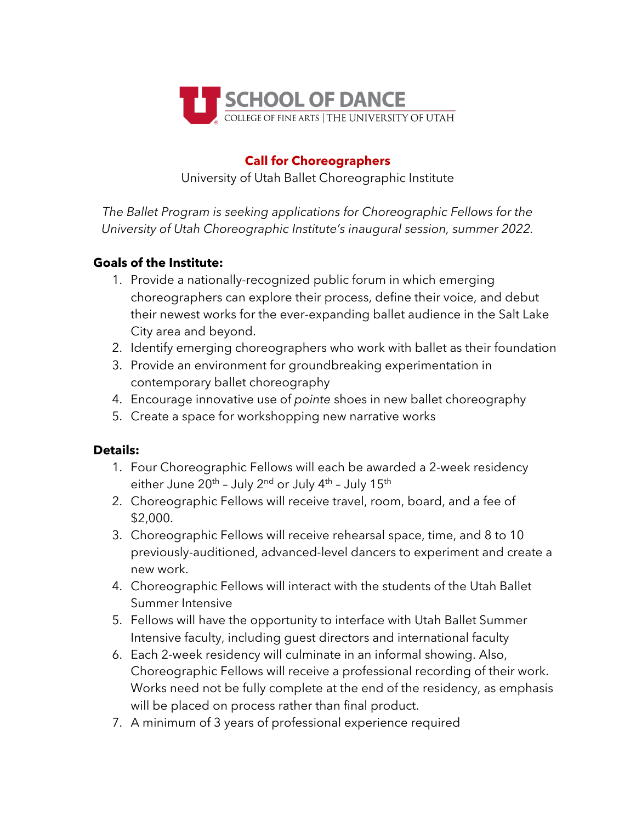

## **Call for Choreographers**

University of Utah Ballet Choreographic Institute

*The Ballet Program is seeking applications for Choreographic Fellows for the University of Utah Choreographic Institute's inaugural session, summer 2022.*

## **Goals of the Institute:**

- 1. Provide a nationally-recognized public forum in which emerging choreographers can explore their process, define their voice, and debut their newest works for the ever-expanding ballet audience in the Salt Lake City area and beyond.
- 2. Identify emerging choreographers who work with ballet as their foundation
- 3. Provide an environment for groundbreaking experimentation in contemporary ballet choreography
- 4. Encourage innovative use of *pointe* shoes in new ballet choreography
- 5. Create a space for workshopping new narrative works

## **Details:**

- 1. Four Choreographic Fellows will each be awarded a 2-week residency either June  $20^{th}$  - July  $2^{nd}$  or July  $4^{th}$  - July  $15^{th}$
- 2. Choreographic Fellows will receive travel, room, board, and a fee of \$2,000.
- 3. Choreographic Fellows will receive rehearsal space, time, and 8 to 10 previously-auditioned, advanced-level dancers to experiment and create a new work.
- 4. Choreographic Fellows will interact with the students of the Utah Ballet Summer Intensive
- 5. Fellows will have the opportunity to interface with Utah Ballet Summer Intensive faculty, including guest directors and international faculty
- 6. Each 2-week residency will culminate in an informal showing. Also, Choreographic Fellows will receive a professional recording of their work. Works need not be fully complete at the end of the residency, as emphasis will be placed on process rather than final product.
- 7. A minimum of 3 years of professional experience required